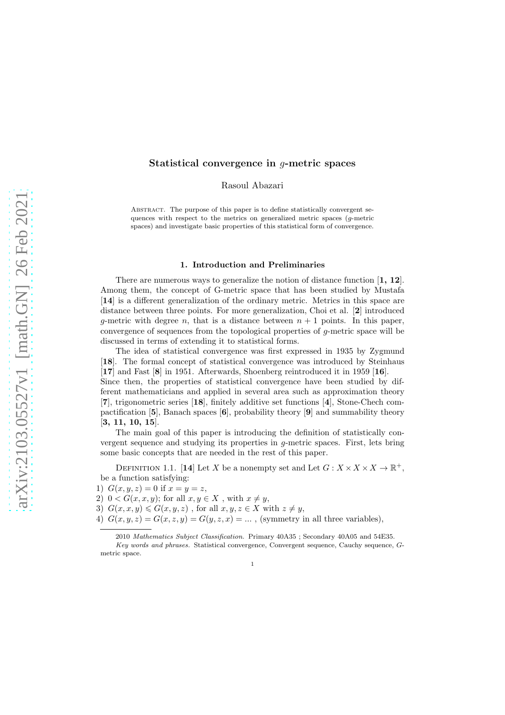# Statistical convergence in g-metric spaces

Rasoul Abazari

ABSTRACT. The purpose of this paper is to define statistically convergent sequences with respect to the metrics on generalized metric spaces (g-metric spaces) and investigate basic properties of this statistical form of convergence.

### 1. Introduction and Preliminaries

There are numerous ways to generalize the notion of distance function  $\mathbf{[1, 12]}$ . Among them, the concept of G-metric space that has been studied by Mustafa [14] is a different generalization of the ordinary metric. Metrics in this space are distance between three points. For more generalization, Choi et al. [2] introduced q-metric with degree n, that is a distance between  $n + 1$  points. In this paper, convergence of sequences from the topological properties of  $q$ -metric space will be discussed in terms of extending it to statistical forms.

The idea of statistical convergence was first expressed in 1935 by Zygmund [18]. The formal concept of statistical convergence was introduced by Steinhaus [17] and Fast [8] in 1951. Afterwards, Shoenberg reintroduced it in 1959 [16].

Since then, the properties of statistical convergence have been studied by different mathematicians and applied in several area such as approximation theory [7], trigonometric series [18], finitely additive set functions [4], Stone-Chech compactification [5], Banach spaces [6], probability theory [9] and summability theory [3, 11, 10, 15].

The main goal of this paper is introducing the definition of statistically convergent sequence and studying its properties in g-metric spaces. First, lets bring some basic concepts that are needed in the rest of this paper.

DEFINITION 1.1. [14] Let X be a nonempty set and Let  $G: X \times X \times X \to \mathbb{R}^+$ , be a function satisfying:

1)  $G(x, y, z) = 0$  if  $x = y = z$ ,

2)  $0 < G(x, x, y)$ ; for all  $x, y \in X$ , with  $x \neq y$ ,

3)  $G(x, x, y) \le G(x, y, z)$ , for all  $x, y, z \in X$  with  $z \neq y$ ,

4)  $G(x, y, z) = G(x, z, y) = G(y, z, x) = \dots$ , (symmetry in all three variables),

1

<sup>2010</sup> Mathematics Subject Classification. Primary 40A35 ; Secondary 40A05 and 54E35. Key words and phrases. Statistical convergence, Convergent sequence, Cauchy sequence, Gmetric space.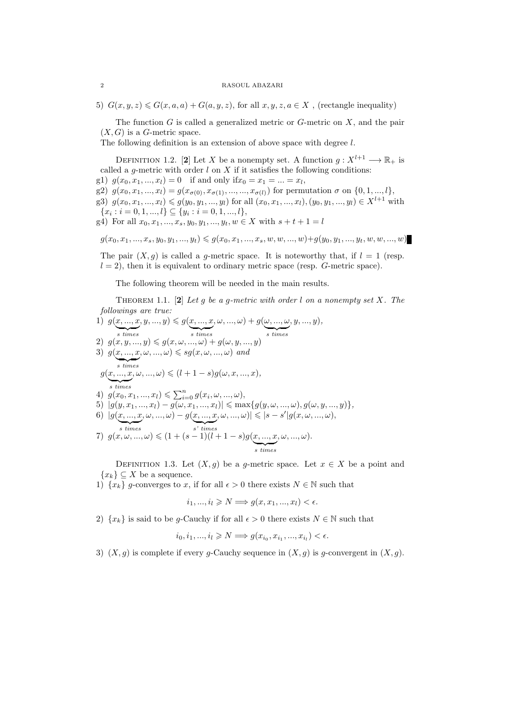5)  $G(x, y, z) \le G(x, a, a) + G(a, y, z)$ , for all  $x, y, z, a \in X$ , (rectangle inequality)

The function  $G$  is called a generalized metric or  $G$ -metric on  $X$ , and the pair  $(X, G)$  is a G-metric space.

The following definition is an extension of above space with degree l.

DEFINITION 1.2. [2] Let X be a nonempty set. A function  $g: X^{l+1} \longrightarrow \mathbb{R}_+$  is called a g-metric with order  $l$  on  $X$  if it satisfies the following conditions:

g1)  $g(x_0, x_1, ..., x_l) = 0$  if and only if  $x_0 = x_1 = ... = x_l$ ,

g2)  $g(x_0, x_1, ..., x_l) = g(x_{\sigma(0)}, x_{\sigma(1)}, ..., ..., x_{\sigma(l)})$  for permutation  $\sigma$  on  $\{0, 1, ..., l\},$ 

g3)  $g(x_0, x_1, ..., x_l) \leq g(y_0, y_1, ..., y_l)$  for all  $(x_0, x_1, ..., x_l), (y_0, y_1, ..., y_l) \in X^{l+1}$  with  ${x_i : i = 0, 1, ..., l} \subseteq {y_i : i = 0, 1, ..., l},$ 

g4) For all  $x_0, x_1, ..., x_s, y_0, y_1, ..., y_t, w \in X$  with  $s + t + 1 = l$ 

 $g(x_0, x_1, ..., x_s, y_0, y_1, ..., y_t) \leqslant g(x_0, x_1, ..., x_s, w, w, ..., w) + g(y_0, y_1, ..., y_t, w, w, ..., w)$ 

The pair  $(X, g)$  is called a g-metric space. It is noteworthy that, if  $l = 1$  (resp.  $l = 2$ , then it is equivalent to ordinary metric space (resp. G-metric space).

The following theorem will be needed in the main results.

Theorem 1.1. [2] *Let* g *be a* g*-metric with order* l *on a nonempty set* X*. The followings are true:*  $\Delta \rightarrow \infty$ 

1) 
$$
g(\underline{x}, \underline{\ldots}, \underline{x}, y, \underline{\ldots}, y) \leq g(\underline{x}, \underline{\ldots}, \underline{x}, \omega, \underline{\ldots}, \omega) + g(\underline{\omega}, \underline{\ldots}, \underline{\omega}, y, \underline{\ldots}, y),
$$
  
\n2)  $g(x, y, \underline{\ldots}, y) \leq g(x, \omega, \underline{\ldots}, \omega) + g(\omega, y, \underline{\ldots}, y)$   
\n3)  $g(\underline{x}, \underline{\ldots}, \underline{x}, \omega, \underline{\ldots}, \omega) \leq sg(x, \omega, \underline{\ldots}, \omega)$  and  
\n*s times*  
\n $g(\underline{x}, \underline{\ldots}, x, \omega, \underline{\ldots}, \omega) \leq (l + 1 - s)g(\omega, x, \underline{\ldots}, x),$   
\n*s times*  
\n4)  $g(x_0, x_1, \underline{\ldots}, x_l) \leq \sum_{i=0}^n g(x_i, \omega, \underline{\ldots}, \omega),$   
\n5)  $|g(y, x_1, \underline{\ldots}, x_l) - g(\omega, x_1, \underline{\ldots}, x_l)| \leq \max\{g(y, \omega, \underline{\ldots}, \omega), g(\omega, y, \underline{\ldots}, y)\},$   
\n6)  $|g(\underline{x}, \underline{\ldots}, x, \omega, \underline{\ldots}, \omega) - g(\underline{x}, \underline{\ldots}, x, \omega, \underline{\ldots}, \omega)| \leq |s - s'|g(x, \omega, \underline{\ldots}, \omega),$   
\n*s times*  
\n7)  $g(x, \omega, \underline{\ldots}, \omega) \leq (1 + (s - 1)(l + 1 - s)g(\underline{x}, \underline{\ldots}, x, \omega, \underline{\ldots}, \omega).$ 

DEFINITION 1.3. Let  $(X, q)$  be a q-metric space. Let  $x \in X$  be a point and  ${x_k} \subseteq X$  be a sequence.

1)  $\{x_k\}$  g-converges to x, if for all  $\epsilon > 0$  there exists  $N \in \mathbb{N}$  such that

$$
i_1, ..., i_l \geq N \Longrightarrow g(x, x_1, ..., x_l) < \epsilon.
$$

2)  $\{x_k\}$  is said to be g-Cauchy if for all  $\epsilon > 0$  there exists  $N \in \mathbb{N}$  such that

$$
i_0, i_1, ..., i_l \geq N \Longrightarrow g(x_{i_0}, x_{i_1}, ..., x_{i_l}) < \epsilon.
$$

3)  $(X, g)$  is complete if every g-Cauchy sequence in  $(X, g)$  is g-convergent in  $(X, g)$ .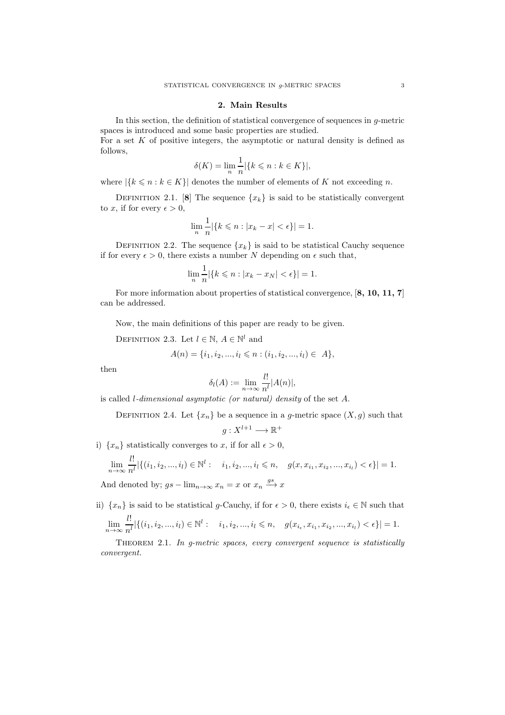### 2. Main Results

In this section, the definition of statistical convergence of sequences in g-metric spaces is introduced and some basic properties are studied.

For a set  $K$  of positive integers, the asymptotic or natural density is defined as follows,

$$
\delta(K) = \lim_{n} \frac{1}{n} |\{k \leqslant n : k \in K\}|,
$$

where  $|\{k \leq n : k \in K\}|$  denotes the number of elements of K not exceeding n.

DEFINITION 2.1. [8] The sequence  $\{x_k\}$  is said to be statistically convergent to x, if for every  $\epsilon > 0$ ,

$$
\lim_{n} \frac{1}{n} |\{k \leq n : |x_k - x| < \epsilon\}| = 1.
$$

DEFINITION 2.2. The sequence  ${x_k}$  is said to be statistical Cauchy sequence if for every  $\epsilon > 0$ , there exists a number N depending on  $\epsilon$  such that,

$$
\lim_{n} \frac{1}{n} |\{k \leq n : |x_k - x_N| < \epsilon\}| = 1.
$$

For more information about properties of statistical convergence, [8, 10, 11, 7] can be addressed.

Now, the main definitions of this paper are ready to be given.

DEFINITION 2.3. Let  $l \in \mathbb{N}$ ,  $A \in \mathbb{N}^l$  and

$$
A(n) = \{i_1, i_2, ..., i_l \leq n : (i_1, i_2, ..., i_l) \in A\},\
$$

then

 $\ddot{\phantom{1}}$ 

$$
\delta_l(A) := \lim_{n \to \infty} \frac{l!}{n^l} |A(n)|,
$$

is called l*-dimensional asymptotic (or natural) density* of the set A.

DEFINITION 2.4. Let  $\{x_n\}$  be a sequence in a g-metric space  $(X, g)$  such that

$$
g: X^{l+1} \longrightarrow \mathbb{R}^+
$$

i)  $\{x_n\}$  statistically converges to x, if for all  $\epsilon > 0$ ,

$$
\lim_{n \to \infty} \frac{l!}{n^l} |\{(i_1, i_2, ..., i_l) \in \mathbb{N}^l : i_1, i_2, ..., i_l \le n, g(x, x_{i_1}, x_{i_2}, ..., x_{i_l}) < \epsilon\}| = 1.
$$
  
And denoted by;  $gs - \lim_{n \to \infty} x_n = x$  or  $x_n \xrightarrow{gs} x$ 

ii)  $\{x_n\}$  is said to be statistical g-Cauchy, if for  $\epsilon > 0$ , there exists  $i_{\epsilon} \in \mathbb{N}$  such that

$$
\lim_{n \to \infty} \frac{l!}{n^l} |\{(i_1, i_2, ..., i_l) \in \mathbb{N}^l : i_1, i_2, ..., i_l \leq n, g(x_{i_{\epsilon}}, x_{i_1}, x_{i_2}, ..., x_{i_l}) < \epsilon\}| = 1.
$$

Theorem 2.1. *In g-metric spaces, every convergent sequence is statistically convergent.*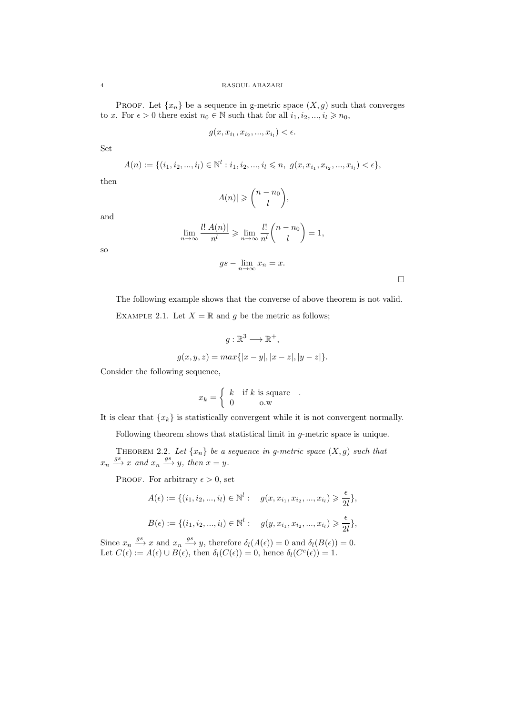PROOF. Let  $\{x_n\}$  be a sequence in g-metric space  $(X, g)$  such that converges to x. For  $\epsilon > 0$  there exist  $n_0 \in \mathbb{N}$  such that for all  $i_1, i_2, ..., i_l \geq n_0$ ,

$$
g(x, x_{i_1}, x_{i_2}, ..., x_{i_l}) < \epsilon.
$$

Set

$$
A(n) := \{ (i_1, i_2, ..., i_l) \in \mathbb{N}^l : i_1, i_2, ..., i_l \leq n, \ g(x, x_{i_1}, x_{i_2}, ..., x_{i_l}) < \epsilon \},
$$

then

$$
|A(n)| \geqslant {n - n_0 \choose l},
$$

and

so

$$
\lim_{n \to \infty} \frac{l! |A(n)|}{n^l} \geqslant \lim_{n \to \infty} \frac{l!}{n^l} {n - n_0 \choose l} = 1,
$$

$$
gs - \lim_{n \to \infty} x_n = x.
$$

 $\Box$ 

The following example shows that the converse of above theorem is not valid.

EXAMPLE 2.1. Let  $X = \mathbb{R}$  and g be the metric as follows;

$$
g: \mathbb{R}^3 \longrightarrow \mathbb{R}^+,
$$
  

$$
g(x, y, z) = max\{|x - y|, |x - z|, |y - z|\}.
$$

Consider the following sequence,

$$
x_k = \begin{cases} k & \text{if } k \text{ is square} \\ 0 & \text{o.w} \end{cases}
$$

It is clear that  $\{x_k\}$  is statistically convergent while it is not convergent normally.

Following theorem shows that statistical limit in g-metric space is unique.

THEOREM 2.2. Let  $\{x_n\}$  be a sequence in g-metric space  $(X, g)$  such that  $x_n \stackrel{gs}{\longrightarrow} x$  and  $x_n \stackrel{gs}{\longrightarrow} y$ , then  $x = y$ .

PROOF. For arbitrary  $\epsilon > 0$ , set

$$
A(\epsilon) := \{ (i_1, i_2, ..., i_l) \in \mathbb{N}^l : \quad g(x, x_{i_1}, x_{i_2}, ..., x_{i_l}) \geq \frac{\epsilon}{2l} \},
$$
  

$$
B(\epsilon) := \{ (i_1, i_2, ..., i_l) \in \mathbb{N}^l : \quad g(y, x_{i_1}, x_{i_2}, ..., x_{i_l}) \geq \frac{\epsilon}{2l} \},
$$

Since  $x_n \stackrel{gs}{\longrightarrow} x$  and  $x_n \stackrel{gs}{\longrightarrow} y$ , therefore  $\delta_l(A(\epsilon)) = 0$  and  $\delta_l(B(\epsilon)) = 0$ . Let  $C(\epsilon) := A(\epsilon) \cup B(\epsilon)$ , then  $\delta_l(C(\epsilon)) = 0$ , hence  $\delta_l(C^c(\epsilon)) = 1$ .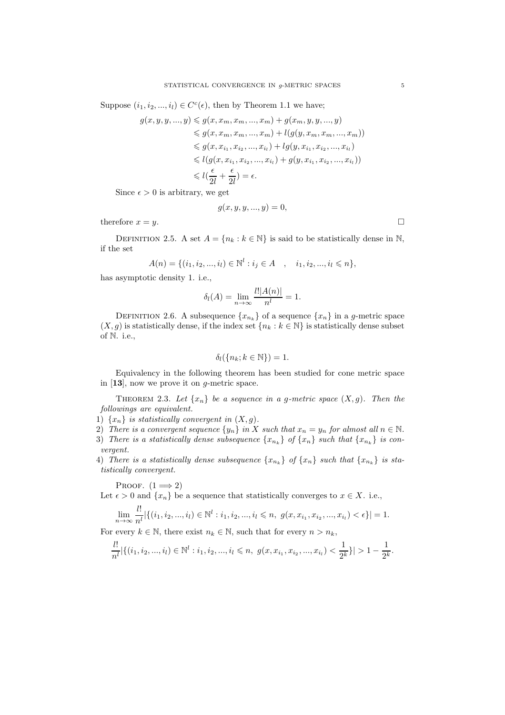Suppose  $(i_1, i_2, ..., i_l) \in C<sup>c</sup>(\epsilon)$ , then by Theorem 1.1 we have;

$$
g(x, y, y, ..., y) \leq g(x, x_m, x_m, ..., x_m) + g(x_m, y, y, ..., y)
$$
  
\n
$$
\leq g(x, x_m, x_m, ..., x_m) + l(g(y, x_m, x_m, ..., x_m))
$$
  
\n
$$
\leq g(x, x_{i_1}, x_{i_2}, ..., x_{i_l}) + l(g(y, x_{i_1}, x_{i_2}, ..., x_{i_l}))
$$
  
\n
$$
\leq l(g(x, x_{i_1}, x_{i_2}, ..., x_{i_l}) + g(y, x_{i_1}, x_{i_2}, ..., x_{i_l}))
$$
  
\n
$$
\leq l(\frac{\epsilon}{2l} + \frac{\epsilon}{2l}) = \epsilon.
$$

Since  $\epsilon > 0$  is arbitrary, we get

$$
g(x, y, y, \ldots, y) = 0,
$$

therefore  $x = y$ .

DEFINITION 2.5. A set  $A = \{n_k : k \in \mathbb{N}\}\$ is said to be statistically dense in N, if the set

$$
A(n) = \{ (i_1, i_2, ..., i_l) \in \mathbb{N}^l : i_j \in A \quad , \quad i_1, i_2, ..., i_l \leq n \},
$$

has asymptotic density 1. i.e.,

$$
\delta_l(A) = \lim_{n \to \infty} \frac{l! |A(n)|}{n^l} = 1.
$$

DEFINITION 2.6. A subsequence  $\{x_{n_k}\}$  of a sequence  $\{x_n\}$  in a g-metric space  $(X, g)$  is statistically dense, if the index set  $\{n_k : k \in \mathbb{N}\}\$ is statistically dense subset of N. i.e.,

$$
\delta_l(\{n_k; k \in \mathbb{N}\}) = 1.
$$

Equivalency in the following theorem has been studied for cone metric space in [13], now we prove it on g-metric space.

THEOREM 2.3. Let  $\{x_n\}$  be a sequence in a g-metric space  $(X, g)$ . Then the *followings are equivalent.*

- 1)  $\{x_n\}$  *is statistically convergent in*  $(X, g)$ *.*
- 2) *There is a convergent sequence*  $\{y_n\}$  *in* X *such that*  $x_n = y_n$  *for almost all*  $n \in \mathbb{N}$ *.*
- 3) There is a statistically dense subsequence  $\{x_{n_k}\}\$  of  $\{x_n\}$  such that  $\{x_{n_k}\}\$  is con*vergent.*
- 4) *There is a statistically dense subsequence*  $\{x_{n_k}\}\$  *of*  $\{x_n\}$  *such that*  $\{x_{n_k}\}\$  *is statistically convergent.*

PROOF.  $(1 \implies 2)$ 

 $\overline{\mathbf{u}}$ 

Let  $\epsilon > 0$  and  $\{x_n\}$  be a sequence that statistically converges to  $x \in X$ . i.e.,

$$
\lim_{n \to \infty} \frac{l!}{n!} |\{(i_1, i_2, ..., i_l) \in \mathbb{N}^l : i_1, i_2, ..., i_l \leq n, g(x, x_{i_1}, x_{i_2}, ..., x_{i_l}) < \epsilon\}| = 1.
$$

For every  $k \in \mathbb{N}$ , there exist  $n_k \in \mathbb{N}$ , such that for every  $n > n_k$ ,

$$
\frac{l!}{n^l}|\{(i_1, i_2, ..., i_l) \in \mathbb{N}^l : i_1, i_2, ..., i_l \leq n, g(x, x_{i_1}, x_{i_2}, ..., x_{i_l}) < \frac{1}{2^k}\}| > 1 - \frac{1}{2^k}.
$$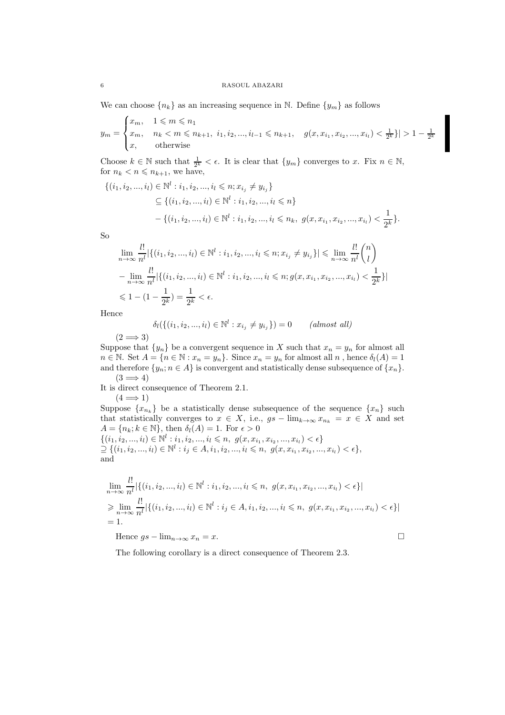We can choose  $\{n_k\}$  as an increasing sequence in N. Define  $\{y_m\}$  as follows

$$
y_m = \begin{cases} x_m, & 1 \leqslant m \leqslant n_1 \\ x_m, & n_k < m \leqslant n_{k+1}, \ i_1, i_2, ..., i_{l-1} \leqslant n_{k+1}, \quad g(x, x_{i_1}, x_{i_2}, ..., x_{i_l}) < \frac{1}{2^k} \} | > 1 - \frac{1}{2^k} \\ x, & \text{otherwise} \end{cases}
$$

Choose  $k \in \mathbb{N}$  such that  $\frac{1}{2^k} < \epsilon$ . It is clear that  $\{y_m\}$  converges to x. Fix  $n \in \mathbb{N}$ , for  $n_k < n \leqslant n_{k+1}$ , we have,

$$
\{(i_1, i_2, ..., i_l) \in \mathbb{N}^l : i_1, i_2, ..., i_l \le n; x_{i_j} \ne y_{i_j}\}\
$$
  
\n
$$
\subseteq \{(i_1, i_2, ..., i_l) \in \mathbb{N}^l : i_1, i_2, ..., i_l \le n\}
$$
  
\n
$$
-\{(i_1, i_2, ..., i_l) \in \mathbb{N}^l : i_1, i_2, ..., i_l \le n_k, g(x, x_{i_1}, x_{i_2}, ..., x_{i_l}) < \frac{1}{2^k}\}.
$$

So

$$
\lim_{n \to \infty} \frac{l!}{n^l} |\{(i_1, i_2, ..., i_l) \in \mathbb{N}^l : i_1, i_2, ..., i_l \le n; x_{i_j} \ne y_{i_j}\}| \le \lim_{n \to \infty} \frac{l!}{n^l} {n \choose l}
$$
\n
$$
-\lim_{n \to \infty} \frac{l!}{n^l} |\{(i_1, i_2, ..., i_l) \in \mathbb{N}^l : i_1, i_2, ..., i_l \le n; g(x, x_{i_1}, x_{i_2}, ..., x_{i_l}) < \frac{1}{2^k}\}|
$$
\n
$$
\le 1 - (1 - \frac{1}{2^k}) = \frac{1}{2^k} < \epsilon.
$$

Hence

$$
\delta_l(\{(i_1, i_2, ..., i_l) \in \mathbb{N}^l : x_{i_j} \neq y_{i_j}\}) = 0 \qquad (almost \ all)
$$

 $(2 \implies 3)$ 

Suppose that  $\{y_n\}$  be a convergent sequence in X such that  $x_n = y_n$  for almost all  $n \in \mathbb{N}$ . Set  $A = \{n \in \mathbb{N} : x_n = y_n\}$ . Since  $x_n = y_n$  for almost all  $n$ , hence  $\delta_l(A) = 1$ and therefore  $\{y_n; n \in A\}$  is convergent and statistically dense subsequence of  $\{x_n\}$ .  $(3 \implies 4)$ 

It is direct consequence of Theorem 2.1.

 $(4 \implies 1)$ Suppose  $\{x_{n_k}\}\$ be a statistically dense subsequence of the sequence  $\{x_n\}$  such that statistically converges to  $x \in X$ , i.e.,  $gs - \lim_{k \to \infty} x_{n_k} = x \in X$  and set  $A = \{n_k; k \in \mathbb{N}\},\$  then  $\delta_l(A) = 1$ . For  $\epsilon > 0$  $\{(i_1, i_2, ..., i_l) \in \mathbb{N}^l : i_1, i_2, ..., i_l \leqslant n, g(x, x_{i_1}, x_{i_2}, ..., x_{i_l}) < \epsilon\}$  $\supseteq \{(i_1, i_2, ..., i_l) \in \mathbb{N}^l : i_j \in A, i_1, i_2, ..., i_l \leqslant n, g(x, x_{i_1}, x_{i_2}, ..., x_{i_l}) < \epsilon\},\$ and

$$
\lim_{n \to \infty} \frac{l!}{n^l} |\{(i_1, i_2, ..., i_l) \in \mathbb{N}^l : i_1, i_2, ..., i_l \le n, g(x, x_{i_1}, x_{i_2}, ..., x_{i_l}) < \epsilon\}|
$$
\n
$$
\ge \lim_{n \to \infty} \frac{l!}{n^l} |\{(i_1, i_2, ..., i_l) \in \mathbb{N}^l : i_j \in A, i_1, i_2, ..., i_l \le n, g(x, x_{i_1}, x_{i_2}, ..., x_{i_l}) < \epsilon\}|
$$
\n= 1.

Hence  $gs - \lim_{n \to \infty} x_n = x$ .

The following corollary is a direct consequence of Theorem 2.3.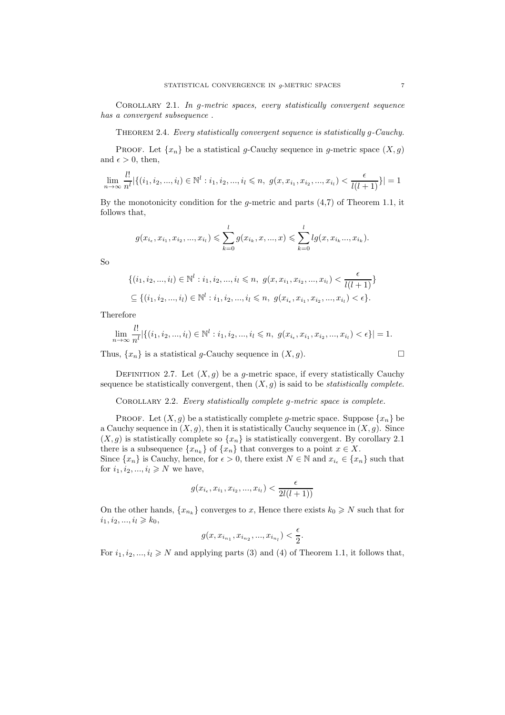Corollary 2.1. *In* g*-metric spaces, every statistically convergent sequence has a convergent subsequence .*

Theorem 2.4. *Every statistically convergent sequence is statistically* g*-Cauchy.*

PROOF. Let  $\{x_n\}$  be a statistical g-Cauchy sequence in g-metric space  $(X, g)$ and  $\epsilon > 0$ , then,

$$
\lim_{n \to \infty} \frac{l!}{n^l} |\{(i_1, i_2, ..., i_l) \in \mathbb{N}^l : i_1, i_2, ..., i_l \le n, g(x, x_{i_1}, x_{i_2}, ..., x_{i_l}) < \frac{\epsilon}{l(l+1)}\}| = 1
$$

By the monotonicity condition for the *q*-metric and parts  $(4.7)$  of Theorem 1.1, it follows that,

$$
g(x_{i_{\epsilon}}, x_{i_1}, x_{i_2}, ..., x_{i_l}) \leqslant \sum_{k=0}^{l} g(x_{i_k}, x, ..., x) \leqslant \sum_{k=0}^{l} lg(x, x_{i_k}, ..., x_{i_k}).
$$

So

$$
\{(i_1, i_2, ..., i_l) \in \mathbb{N}^l : i_1, i_2, ..., i_l \le n, g(x, x_{i_1}, x_{i_2}, ..., x_{i_l}) < \frac{\epsilon}{l(l+1)}\}
$$
  

$$
\subseteq \{(i_1, i_2, ..., i_l) \in \mathbb{N}^l : i_1, i_2, ..., i_l \le n, g(x_{i_\epsilon}, x_{i_1}, x_{i_2}, ..., x_{i_l}) < \epsilon\}.
$$

Therefore

$$
\lim_{n \to \infty} \frac{l!}{n^l} |\{(i_1, i_2, ..., i_l) \in \mathbb{N}^l : i_1, i_2, ..., i_l \le n, g(x_{i_{\epsilon}}, x_{i_1}, x_{i_2}, ..., x_{i_l}) < \epsilon\}| = 1.
$$

Thus,  $\{x_n\}$  is a statistical g-Cauchy sequence in  $(X, g)$ .

DEFINITION 2.7. Let  $(X, g)$  be a g-metric space, if every statistically Cauchy sequence be statistically convergent, then (X, g) is said to be *statistically complete*.

Corollary 2.2. *Every statistically complete* g*-metric space is complete.*

PROOF. Let  $(X, g)$  be a statistically complete g-metric space. Suppose  $\{x_n\}$  be a Cauchy sequence in  $(X, g)$ , then it is statistically Cauchy sequence in  $(X, g)$ . Since  $(X, g)$  is statistically complete so  $\{x_n\}$  is statistically convergent. By corollary 2.1 there is a subsequence  $\{x_{n_k}\}\$  of  $\{x_n\}$  that converges to a point  $x \in X$ .

Since  $\{x_n\}$  is Cauchy, hence, for  $\epsilon > 0$ , there exist  $N \in \mathbb{N}$  and  $x_{i_{\epsilon}} \in \{x_n\}$  such that for  $i_1, i_2, ..., i_l \geq N$  we have,

$$
g(x_{i_{\epsilon}}, x_{i_1}, x_{i_2}, ..., x_{i_l}) < \frac{\epsilon}{2l(l+1))}
$$

On the other hands,  $\{x_{n_k}\}$  converges to x, Hence there exists  $k_0 \geq N$  such that for  $i_1, i_2, ..., i_l \geq k_0,$ 

$$
g(x,x_{i_{n_1}},x_{i_{n_2}},...,x_{i_{n_l}})<\frac{\epsilon}{2}.
$$

For  $i_1, i_2, ..., i_l \ge N$  and applying parts (3) and (4) of Theorem 1.1, it follows that,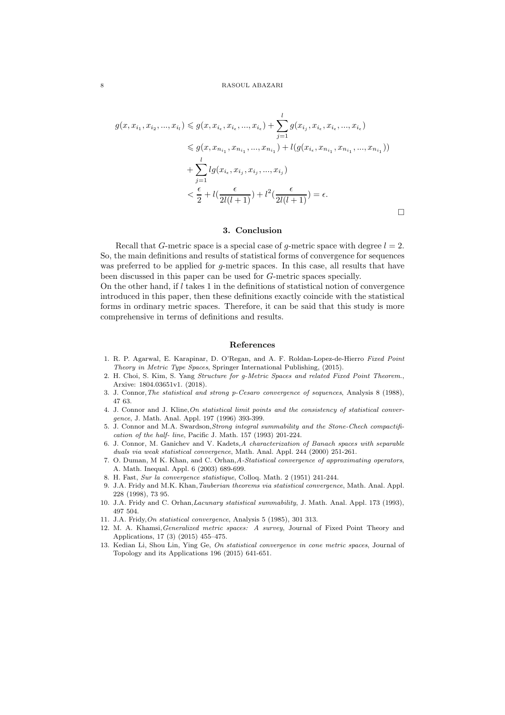$$
g(x, x_{i_1}, x_{i_2}, ..., x_{i_l}) \leq g(x, x_{i_\epsilon}, x_{i_\epsilon}, ..., x_{i_\epsilon}) + \sum_{j=1}^l g(x_{i_j}, x_{i_\epsilon}, x_{i_\epsilon}, ..., x_{i_\epsilon})
$$
  

$$
\leq g(x, x_{n_{i_1}}, x_{n_{i_1}}, ..., x_{n_{i_1}}) + l(g(x_{i_\epsilon}, x_{n_{i_1}}, x_{n_{i_1}}, ..., x_{n_{i_1}}))
$$
  

$$
+ \sum_{j=1}^l lg(x_{i_\epsilon}, x_{i_j}, x_{i_j}, ..., x_{i_j})
$$
  

$$
< \frac{\epsilon}{2} + l(\frac{\epsilon}{2l(l+1)}) + l^2(\frac{\epsilon}{2l(l+1)}) = \epsilon.
$$

## 3. Conclusion

 $\Box$ 

Recall that G-metric space is a special case of g-metric space with degree  $l = 2$ . So, the main definitions and results of statistical forms of convergence for sequences was preferred to be applied for  $g$ -metric spaces. In this case, all results that have been discussed in this paper can be used for G-metric spaces specially.

On the other hand, if  $l$  takes 1 in the definitions of statistical notion of convergence introduced in this paper, then these definitions exactly coincide with the statistical forms in ordinary metric spaces. Therefore, it can be said that this study is more comprehensive in terms of definitions and results.

#### References

- 1. R. P. Agarwal, E. Karapinar, D. O'Regan, and A. F. Roldan-Lopez-de-Hierro Fixed Point Theory in Metric Type Spaces, Springer International Publishing, (2015).
- 2. H. Choi, S. Kim, S. Yang Structure for g-Metric Spaces and related Fixed Point Theorem., Arxive: 1804.03651v1. (2018).
- 3. J. Connor,The statistical and strong p-Cesaro convergence of sequences, Analysis 8 (1988), 47 63.
- 4. J. Connor and J. Kline,On statistical limit points and the consistency of statistical convergence, J. Math. Anal. Appl. 197 (1996) 393-399.
- 5. J. Connor and M.A. Swardson,Strong integral summability and the Stone-Chech compactification of the half- line, Pacific J. Math. 157 (1993) 201-224.
- 6. J. Connor, M. Ganichev and V. Kadets,A characterization of Banach spaces with separable duals via weak statistical convergence, Math. Anal. Appl. 244 (2000) 251-261.
- 7. O. Duman, M K. Khan, and C. Orhan,A-Statistical convergence of approximating operators, A. Math. Inequal. Appl. 6 (2003) 689-699.
- 8. H. Fast, Sur la convergence statistique, Colloq. Math. 2 (1951) 241-244.
- 9. J.A. Fridy and M.K. Khan,Tauberian theorems via statistical convergence, Math. Anal. Appl. 228 (1998), 73 95.
- 10. J.A. Fridy and C. Orhan,Lacunary statistical summability, J. Math. Anal. Appl. 173 (1993), 497 504.
- 11. J.A. Fridy,On statistical convergence, Analysis 5 (1985), 301 313.
- 12. M. A. Khamsi,Generalized metric spaces: A survey, Journal of Fixed Point Theory and Applications, 17 (3) (2015) 455–475.
- 13. Kedian Li, Shou Lin, Ying Ge, On statistical convergence in cone metric spaces, Journal of Topology and its Applications 196 (2015) 641-651.